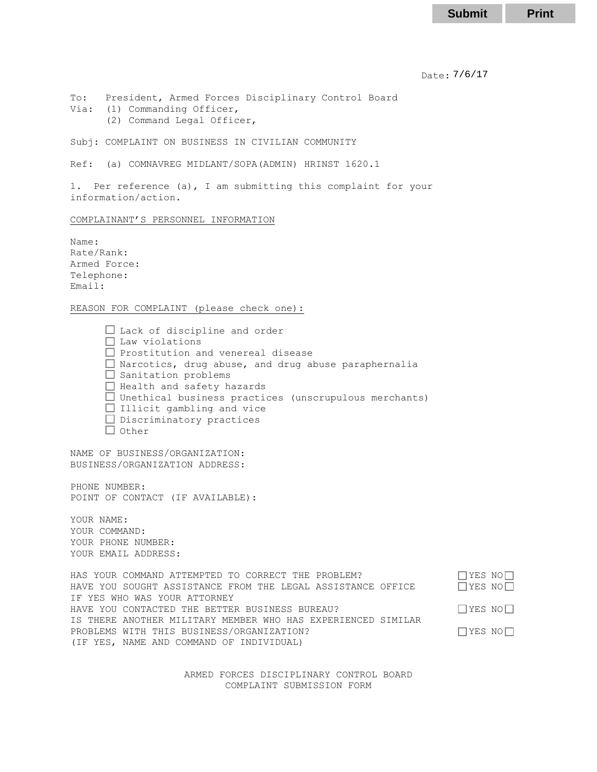Date: 7/6/17 7/6/17 **Submit Print**

To: President, Armed Forces Disciplinary Control Board Via: (1) Commanding Officer, (2) Command Legal Officer,

Subj: COMPLAINT ON BUSINESS IN CIVILIAN COMMUNITY

Ref: (a) COMNAVREG MIDLANT/SOPA(ADMIN) HRINST 1620.1

1. Per reference (a), I am submitting this complaint for your information/action.

## COMPLAINANT'S PERSONNEL INFORMATION

Name: Rate/Rank: Armed Force: Telephone: Email:

REASON FOR COMPLAINT (please check one):

□ Lack of discipline and order  $\Box$  Law violations  $\Box$  Prostitution and venereal disease  $\Box$  Narcotics, drug abuse, and drug abuse paraphernalia  $\Box$  Sanitation problems Health and safety hazards  $\Box$  Unethical business practices (unscrupulous merchants)  $\Box$  Illicit gambling and vice  $\Box$  Discriminatory practices  $\Box$  Other

NAME OF BUSINESS/ORGANIZATION: BUSINESS/ORGANIZATION ADDRESS:

PHONE NUMBER: POINT OF CONTACT (IF AVAILABLE):

YOUR NAME: YOUR COMMAND: YOUR PHONE NUMBER: YOUR EMAIL ADDRESS:

HAS YOUR COMMAND ATTEMPTED TO CORRECT THE PROBLEM?  $\Box$  YES NO $\Box$ HAVE YOU SOUGHT ASSISTANCE FROM THE LEGAL ASSISTANCE OFFICE  $\Box$  YES NO $\Box$ IF YES WHO WAS YOUR ATTORNEY HAVE YOU CONTACTED THE BETTER BUSINESS BUREAU?  $\Box$  YES NO $\Box$ IS THERE ANOTHER MILITARY MEMBER WHO HAS EXPERIENCED SIMILAR PROBLEMS WITH THIS BUSINESS/ORGANIZATION?  $\Box$  YES NO $\Box$ (IF YES, NAME AND COMMAND OF INDIVIDUAL)

> ARMED FORCES DISCIPLINARY CONTROL BOARD COMPLAINT SUBMISSION FORM